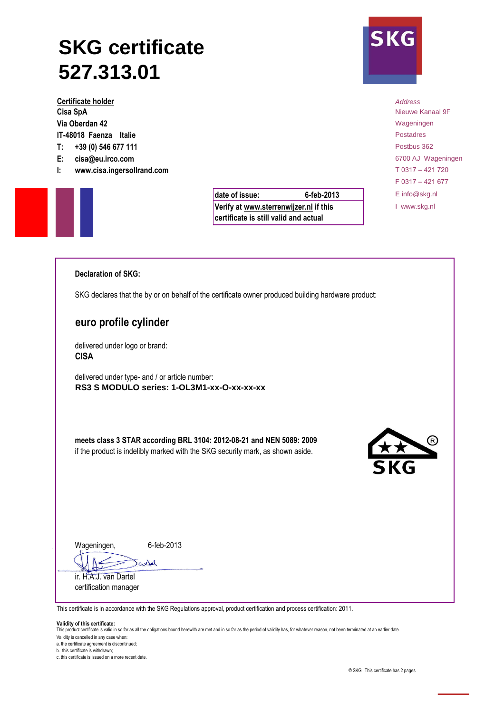# **SKG certificate 527.313.01**

**Certificate holder** *Address* **Cisa SpA** Nieuwe Kanaal 9F **Via Oberdan 42** Wageningen **Via Oberdan 42** Wageningen **IT-48018 Faenza Italie** Postadres **T: +39 (0) 546 677 111** Postbus 362 **E: cisa@eu.irco.com** 6700 AJ Wageningen

**I: www.cisa.ingersollrand.com** T 0317 – 421 720

| date of issue:                                                                  | 6-feb-2013 |
|---------------------------------------------------------------------------------|------------|
| Verify at www.sterrenwijzer.nl if this<br>certificate is still valid and actual |            |



F 0317 – 421 677 **date of issue:** E info@skg.nl I www.skg.nl

# **Declaration of SKG:**

SKG declares that the by or on behalf of the certificate owner produced building hardware product:

# **euro profile cylinder**

delivered under logo or brand: **CISA**

delivered under type- and / or article number: **RS3 S MODULO series: 1-OL3M1-xx-O-xx-xx-xx**

**meets class 3 STAR according BRL 3104: 2012-08-21 and NEN 5089: 2009** if the product is indelibly marked with the SKG security mark, as shown aside.



Wageningen,

6-feb-2013

Jarkel ir. H.A.J. van Dartel

certification manager

This certificate is in accordance with the SKG Regulations approval, product certification and process certification: 2011.

#### **Validity of this certificate:**

This product certificate is valid in so far as all the obligations bound herewith are met and in so far as the period of validity has, for whatever reason, not been terminated at an earlier date.

Validity is cancelled in any case when:

a. the certificate agreement is discontinued;

b. this certificate is withdrawn; c. this certificate is issued on a more recent date.